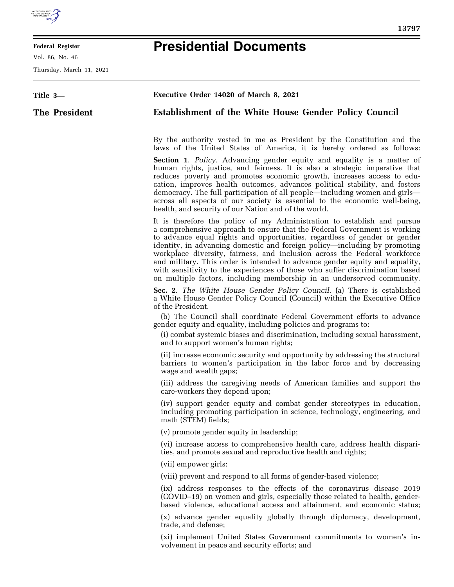

E

## **Federal Register**

Vol. 86, No. 46

Thursday, March 11, 2021

## **Presidential Documents**

| Title 3-      | Executive Order 14020 of March 8, 2021                                                                                                                                                                                                                                                                                                                                                                                                                                                                                                                                                                                                                                                 |
|---------------|----------------------------------------------------------------------------------------------------------------------------------------------------------------------------------------------------------------------------------------------------------------------------------------------------------------------------------------------------------------------------------------------------------------------------------------------------------------------------------------------------------------------------------------------------------------------------------------------------------------------------------------------------------------------------------------|
| The President | <b>Establishment of the White House Gender Policy Council</b>                                                                                                                                                                                                                                                                                                                                                                                                                                                                                                                                                                                                                          |
|               | By the authority vested in me as President by the Constitution and the<br>laws of the United States of America, it is hereby ordered as follows:<br>Section 1. Policy. Advancing gender equity and equality is a matter of<br>human rights, justice, and fairness. It is also a strategic imperative that<br>reduces poverty and promotes economic growth, increases access to edu-<br>cation, improves health outcomes, advances political stability, and fosters<br>democracy. The full participation of all people—including women and girls—<br>across all aspects of our society is essential to the economic well-being,<br>health, and security of our Nation and of the world. |
|               | It is therefore the policy of my Administration to establish and pursue<br>a comprehensive approach to ensure that the Federal Government is working<br>to advance equal rights and opportunities, regardless of gender or gender<br>identity, in advancing domestic and foreign policy—including by promoting<br>workplace diversity, fairness, and inclusion across the Federal workforce<br>and military. This order is intended to advance gender equity and equality,<br>with sensitivity to the experiences of those who suffer discrimination based<br>on multiple factors, including membership in an underserved community.                                                   |
|               | Sec. 2. The White House Gender Policy Council. (a) There is established<br>a White House Gender Policy Council (Council) within the Executive Office<br>of the President.                                                                                                                                                                                                                                                                                                                                                                                                                                                                                                              |
|               | (b) The Council shall coordinate Federal Government efforts to advance<br>gender equity and equality, including policies and programs to:<br>(i) combat systemic biases and discrimination, including sexual harassment,<br>and to support women's human rights;                                                                                                                                                                                                                                                                                                                                                                                                                       |
|               | (ii) increase economic security and opportunity by addressing the structural<br>barriers to women's participation in the labor force and by decreasing<br>wage and wealth gaps;                                                                                                                                                                                                                                                                                                                                                                                                                                                                                                        |
|               | (iii) address the caregiving needs of American families and support the<br>care-workers they depend upon;                                                                                                                                                                                                                                                                                                                                                                                                                                                                                                                                                                              |
|               | (iv) support gender equity and combat gender stereotypes in education,<br>including promoting participation in science, technology, engineering, and<br>math (STEM) fields;                                                                                                                                                                                                                                                                                                                                                                                                                                                                                                            |
|               | (v) promote gender equity in leadership;                                                                                                                                                                                                                                                                                                                                                                                                                                                                                                                                                                                                                                               |
|               | (vi) increase access to comprehensive health care, address health dispari-<br>ties, and promote sexual and reproductive health and rights;                                                                                                                                                                                                                                                                                                                                                                                                                                                                                                                                             |
|               | (vii) empower girls;                                                                                                                                                                                                                                                                                                                                                                                                                                                                                                                                                                                                                                                                   |
|               | (viii) prevent and respond to all forms of gender-based violence;                                                                                                                                                                                                                                                                                                                                                                                                                                                                                                                                                                                                                      |
|               | (ix) address responses to the effects of the coronavirus disease 2019<br>(COVID-19) on women and girls, especially those related to health, gender-<br>based violence, educational access and attainment, and economic status;                                                                                                                                                                                                                                                                                                                                                                                                                                                         |
|               | (x) advance gender equality globally through diplomacy, development,<br>trade, and defense;                                                                                                                                                                                                                                                                                                                                                                                                                                                                                                                                                                                            |
|               | (xi) implement United States Government commitments to women's in-<br>volvement in peace and security efforts; and                                                                                                                                                                                                                                                                                                                                                                                                                                                                                                                                                                     |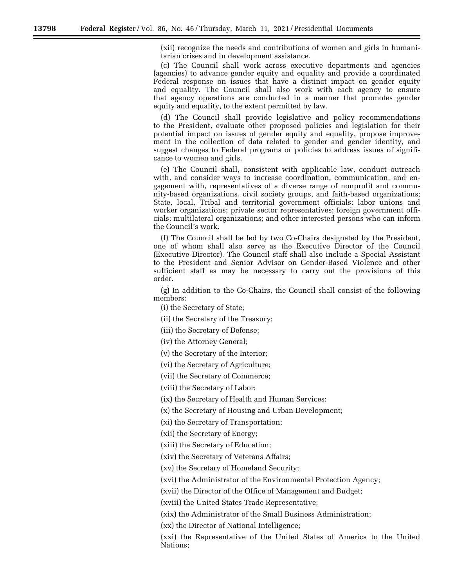(xii) recognize the needs and contributions of women and girls in humanitarian crises and in development assistance.

(c) The Council shall work across executive departments and agencies (agencies) to advance gender equity and equality and provide a coordinated Federal response on issues that have a distinct impact on gender equity and equality. The Council shall also work with each agency to ensure that agency operations are conducted in a manner that promotes gender equity and equality, to the extent permitted by law.

(d) The Council shall provide legislative and policy recommendations to the President, evaluate other proposed policies and legislation for their potential impact on issues of gender equity and equality, propose improvement in the collection of data related to gender and gender identity, and suggest changes to Federal programs or policies to address issues of significance to women and girls.

(e) The Council shall, consistent with applicable law, conduct outreach with, and consider ways to increase coordination, communication, and engagement with, representatives of a diverse range of nonprofit and community-based organizations, civil society groups, and faith-based organizations; State, local, Tribal and territorial government officials; labor unions and worker organizations; private sector representatives; foreign government officials; multilateral organizations; and other interested persons who can inform the Council's work.

(f) The Council shall be led by two Co-Chairs designated by the President, one of whom shall also serve as the Executive Director of the Council (Executive Director). The Council staff shall also include a Special Assistant to the President and Senior Advisor on Gender-Based Violence and other sufficient staff as may be necessary to carry out the provisions of this order.

(g) In addition to the Co-Chairs, the Council shall consist of the following members:

(i) the Secretary of State;

(ii) the Secretary of the Treasury;

(iii) the Secretary of Defense;

(iv) the Attorney General;

(v) the Secretary of the Interior;

(vi) the Secretary of Agriculture;

(vii) the Secretary of Commerce;

(viii) the Secretary of Labor;

(ix) the Secretary of Health and Human Services;

(x) the Secretary of Housing and Urban Development;

(xi) the Secretary of Transportation;

(xii) the Secretary of Energy;

(xiii) the Secretary of Education;

(xiv) the Secretary of Veterans Affairs;

(xv) the Secretary of Homeland Security;

(xvi) the Administrator of the Environmental Protection Agency;

(xvii) the Director of the Office of Management and Budget;

(xviii) the United States Trade Representative;

(xix) the Administrator of the Small Business Administration;

(xx) the Director of National Intelligence;

(xxi) the Representative of the United States of America to the United Nations;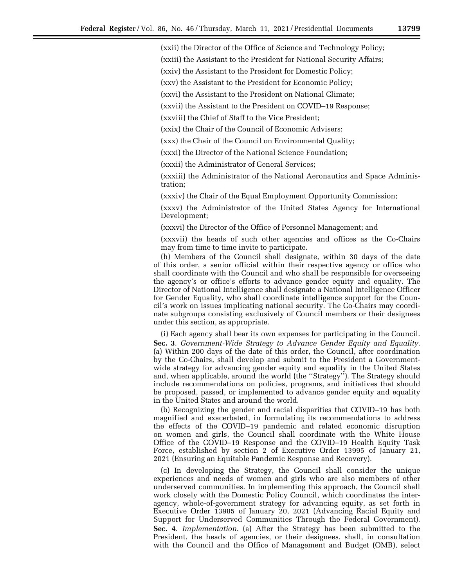(xxii) the Director of the Office of Science and Technology Policy;

(xxiii) the Assistant to the President for National Security Affairs;

(xxiv) the Assistant to the President for Domestic Policy;

(xxv) the Assistant to the President for Economic Policy;

(xxvi) the Assistant to the President on National Climate;

(xxvii) the Assistant to the President on COVID–19 Response;

(xxviii) the Chief of Staff to the Vice President;

(xxix) the Chair of the Council of Economic Advisers;

(xxx) the Chair of the Council on Environmental Quality;

(xxxi) the Director of the National Science Foundation;

(xxxii) the Administrator of General Services;

(xxxiii) the Administrator of the National Aeronautics and Space Administration;

(xxxiv) the Chair of the Equal Employment Opportunity Commission;

(xxxv) the Administrator of the United States Agency for International Development;

(xxxvi) the Director of the Office of Personnel Management; and

(xxxvii) the heads of such other agencies and offices as the Co-Chairs may from time to time invite to participate.

(h) Members of the Council shall designate, within 30 days of the date of this order, a senior official within their respective agency or office who shall coordinate with the Council and who shall be responsible for overseeing the agency's or office's efforts to advance gender equity and equality. The Director of National Intelligence shall designate a National Intelligence Officer for Gender Equality, who shall coordinate intelligence support for the Council's work on issues implicating national security. The Co-Chairs may coordinate subgroups consisting exclusively of Council members or their designees under this section, as appropriate.

(i) Each agency shall bear its own expenses for participating in the Council. **Sec. 3**. *Government-Wide Strategy to Advance Gender Equity and Equality.*  (a) Within 200 days of the date of this order, the Council, after coordination by the Co-Chairs, shall develop and submit to the President a Governmentwide strategy for advancing gender equity and equality in the United States and, when applicable, around the world (the ''Strategy''). The Strategy should include recommendations on policies, programs, and initiatives that should be proposed, passed, or implemented to advance gender equity and equality in the United States and around the world.

(b) Recognizing the gender and racial disparities that COVID–19 has both magnified and exacerbated, in formulating its recommendations to address the effects of the COVID–19 pandemic and related economic disruption on women and girls, the Council shall coordinate with the White House Office of the COVID–19 Response and the COVID–19 Health Equity Task Force, established by section 2 of Executive Order 13995 of January 21, 2021 (Ensuring an Equitable Pandemic Response and Recovery).

(c) In developing the Strategy, the Council shall consider the unique experiences and needs of women and girls who are also members of other underserved communities. In implementing this approach, the Council shall work closely with the Domestic Policy Council, which coordinates the interagency, whole-of-government strategy for advancing equity, as set forth in Executive Order 13985 of January 20, 2021 (Advancing Racial Equity and Support for Underserved Communities Through the Federal Government). **Sec. 4**. *Implementation.* (a) After the Strategy has been submitted to the President, the heads of agencies, or their designees, shall, in consultation with the Council and the Office of Management and Budget (OMB), select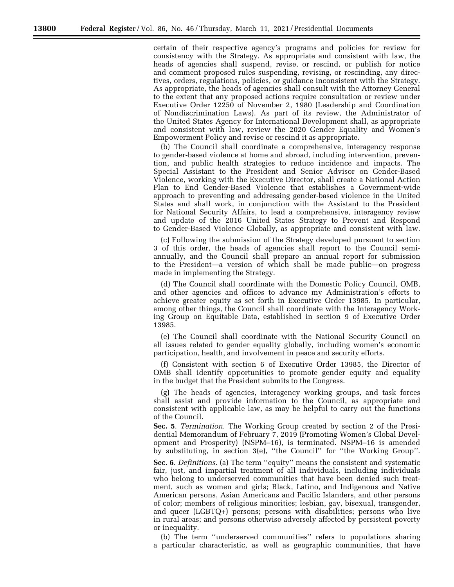certain of their respective agency's programs and policies for review for consistency with the Strategy. As appropriate and consistent with law, the heads of agencies shall suspend, revise, or rescind, or publish for notice and comment proposed rules suspending, revising, or rescinding, any directives, orders, regulations, policies, or guidance inconsistent with the Strategy. As appropriate, the heads of agencies shall consult with the Attorney General to the extent that any proposed actions require consultation or review under Executive Order 12250 of November 2, 1980 (Leadership and Coordination of Nondiscrimination Laws). As part of its review, the Administrator of the United States Agency for International Development shall, as appropriate and consistent with law, review the 2020 Gender Equality and Women's Empowerment Policy and revise or rescind it as appropriate.

(b) The Council shall coordinate a comprehensive, interagency response to gender-based violence at home and abroad, including intervention, prevention, and public health strategies to reduce incidence and impacts. The Special Assistant to the President and Senior Advisor on Gender-Based Violence, working with the Executive Director, shall create a National Action Plan to End Gender-Based Violence that establishes a Government-wide approach to preventing and addressing gender-based violence in the United States and shall work, in conjunction with the Assistant to the President for National Security Affairs, to lead a comprehensive, interagency review and update of the 2016 United States Strategy to Prevent and Respond to Gender-Based Violence Globally, as appropriate and consistent with law.

(c) Following the submission of the Strategy developed pursuant to section 3 of this order, the heads of agencies shall report to the Council semiannually, and the Council shall prepare an annual report for submission to the President—a version of which shall be made public—on progress made in implementing the Strategy.

(d) The Council shall coordinate with the Domestic Policy Council, OMB, and other agencies and offices to advance my Administration's efforts to achieve greater equity as set forth in Executive Order 13985. In particular, among other things, the Council shall coordinate with the Interagency Working Group on Equitable Data, established in section 9 of Executive Order 13985.

(e) The Council shall coordinate with the National Security Council on all issues related to gender equality globally, including women's economic participation, health, and involvement in peace and security efforts.

(f) Consistent with section 6 of Executive Order 13985, the Director of OMB shall identify opportunities to promote gender equity and equality in the budget that the President submits to the Congress.

(g) The heads of agencies, interagency working groups, and task forces shall assist and provide information to the Council, as appropriate and consistent with applicable law, as may be helpful to carry out the functions of the Council.

**Sec. 5**. *Termination.* The Working Group created by section 2 of the Presidential Memorandum of February 7, 2019 (Promoting Women's Global Development and Prosperity) (NSPM–16), is terminated. NSPM–16 is amended by substituting, in section 3(e), ''the Council'' for ''the Working Group''.

**Sec. 6**. *Definitions.* (a) The term ''equity'' means the consistent and systematic fair, just, and impartial treatment of all individuals, including individuals who belong to underserved communities that have been denied such treatment, such as women and girls; Black, Latino, and Indigenous and Native American persons, Asian Americans and Pacific Islanders, and other persons of color; members of religious minorities; lesbian, gay, bisexual, transgender, and queer (LGBTQ+) persons; persons with disabilities; persons who live in rural areas; and persons otherwise adversely affected by persistent poverty or inequality.

(b) The term ''underserved communities'' refers to populations sharing a particular characteristic, as well as geographic communities, that have